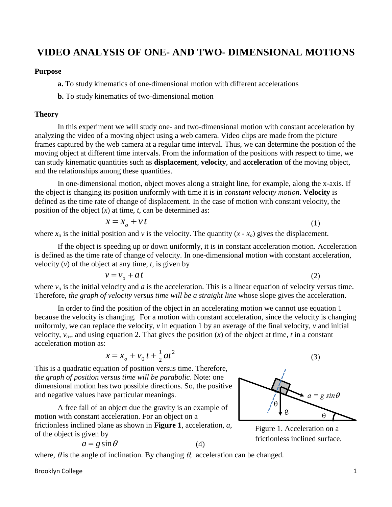# **VIDEO ANALYSIS OF ONE- AND TWO- DIMENSIONAL MOTIONS**

#### **Purpose**

**a.** To study kinematics of one-dimensional motion with different accelerations

**b.** To study kinematics of two-dimensional motion

#### **Theory**

In this experiment we will study one- and two-dimensional motion with constant acceleration by analyzing the video of a moving object using a web camera. Video clips are made from the picture frames captured by the web camera at a regular time interval. Thus, we can determine the position of the moving object at different time intervals. From the information of the positions with respect to time, we can study kinematic quantities such as **displacement**, **velocity**, and **acceleration** of the moving object, and the relationships among these quantities.

In one-dimensional motion, object moves along a straight line, for example, along the x-axis. If the object is changing its position uniformly with time it is in *constant velocity motion*. **Velocity** is defined as the time rate of change of displacement. In the case of motion with constant velocity, the position of the object (*x*) at time, *t*, can be determined as:

$$
x = x_o + vt \tag{1}
$$

where  $x<sub>o</sub>$  is the initial position and *v* is the velocity. The quantity  $(x - x<sub>o</sub>)$  gives the displacement.

If the object is speeding up or down uniformly, it is in constant acceleration motion. Acceleration is defined as the time rate of change of velocity. In one-dimensional motion with constant acceleration, velocity  $(v)$  of the object at any time,  $t$ , is given by

$$
v = v_o + at
$$

where  $v<sub>o</sub>$  is the initial velocity and *a* is the acceleration. This is a linear equation of velocity versus time. Therefore*, the graph of velocity versus time will be a straight line* whose slope gives the acceleration.

In order to find the position of the object in an accelerating motion we cannot use equation 1 because the velocity is changing. For a motion with constant acceleration, since the velocity is changing uniformly, we can replace the velocity, *v* in equation 1 by an average of the final velocity, *v* and initial velocity,  $v<sub>o</sub>$ , and using equation 2. That gives the position  $(x)$  of the object at time, *t* in a constant acceleration motion as:

$$
x = x_o + v_0 t + \frac{1}{2} a t^2
$$

This is a quadratic equation of position versus time. Therefore, *the graph of position versus time will be parabolic*. Note: one dimensional motion has two possible directions. So, the positive and negative values have particular meanings.

A free fall of an object due the gravity is an example of motion with constant acceleration. For an object on a frictionless inclined plane as shown in **Figure 1**, acceleration, *a*, of the object is given by

$$
a = g \sin \theta
$$

Ŧ

(2)

(3)

Figure 1. Acceleration on a frictionless inclined surface.

$$
a = g \sin \theta \tag{4}
$$

where,  $\theta$  is the angle of inclination. By changing  $\theta$ , acceleration can be changed.

Brooklyn College 1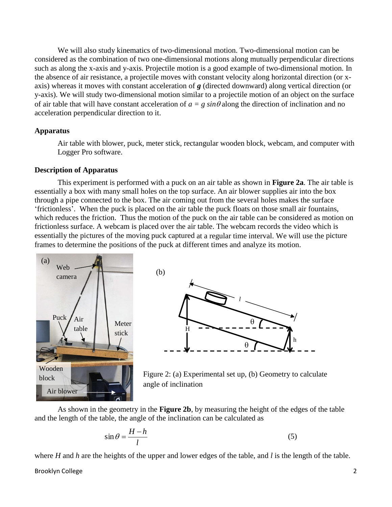We will also study kinematics of two-dimensional motion. Two-dimensional motion can be considered as the combination of two one-dimensional motions along mutually perpendicular directions such as along the x-axis and y-axis. Projectile motion is a good example of two-dimensional motion. In the absence of air resistance, a projectile moves with constant velocity along horizontal direction (or xaxis) whereas it moves with constant acceleration of *g* (directed downward) along vertical direction (or y-axis). We will study two-dimensional motion similar to a projectile motion of an object on the surface of air table that will have constant acceleration of  $a = g \sin \theta$  along the direction of inclination and no acceleration perpendicular direction to it.

#### **Apparatus**

Air table with blower, puck, meter stick, rectangular wooden block, webcam, and computer with Logger Pro software.

#### **Description of Apparatus**

This experiment is performed with a puck on an air table as shown in **Figure 2a**. The air table is essentially a box with many small holes on the top surface. An air blower supplies air into the box through a pipe connected to the box. The air coming out from the several holes makes the surface 'frictionless'. When the puck is placed on the air table the puck floats on those small air fountains, which reduces the friction. Thus the motion of the puck on the air table can be considered as motion on frictionless surface. A webcam is placed over the air table. The webcam records the video which is essentially the pictures of the moving puck captured at a regular time interval. We will use the picture frames to determine the positions of the puck at different times and analyze its motion.







As shown in the geometry in the **Figure 2b**, by measuring the height of the edges of the table and the length of the table, the angle of the inclination can be calculated as

$$
\sin \theta = \frac{H - h}{l} \tag{5}
$$

where *H* and *h* are the heights of the upper and lower edges of the table, and *l* is the length of the table.

Brooklyn College 2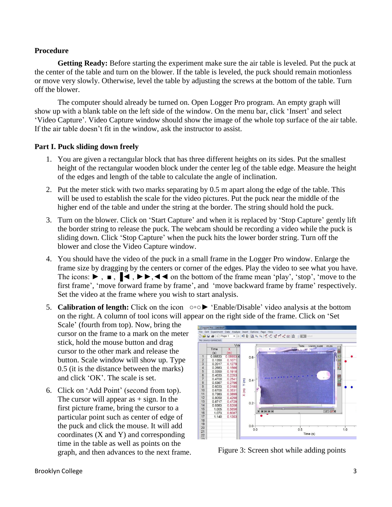#### **Procedure**

**Getting Ready:** Before starting the experiment make sure the air table is leveled. Put the puck at the center of the table and turn on the blower. If the table is leveled, the puck should remain motionless or move very slowly. Otherwise, level the table by adjusting the screws at the bottom of the table. Turn off the blower.

The computer should already be turned on. Open Logger Pro program. An empty graph will show up with a blank table on the left side of the window. On the menu bar, click 'Insert' and select 'Video Capture'. Video Capture window should show the image of the whole top surface of the air table. If the air table doesn't fit in the window, ask the instructor to assist.

#### **Part I. Puck sliding down freely**

- 1. You are given a rectangular block that has three different heights on its sides. Put the smallest height of the rectangular wooden block under the center leg of the table edge. Measure the height of the edges and length of the table to calculate the angle of inclination.
- 2. Put the meter stick with two marks separating by 0.5 m apart along the edge of the table. This will be used to establish the scale for the video pictures. Put the puck near the middle of the higher end of the table and under the string at the border. The string should hold the puck.
- 3. Turn on the blower. Click on 'Start Capture' and when it is replaced by 'Stop Capture' gently lift the border string to release the puck. The webcam should be recording a video while the puck is sliding down. Click 'Stop Capture' when the puck hits the lower border string. Turn off the blower and close the Video Capture window.
- 4. You should have the video of the puck in a small frame in the Logger Pro window. Enlarge the frame size by dragging by the centers or corner of the edges. Play the video to see what you have. The icons:  $\blacktriangleright$ ,  $\blacksquare$ ,  $\blacktriangleright$   $\blacktriangleright$ ,  $\blacktriangleleft$  on the bottom of the frame mean 'play', 'stop', 'move to the first frame', 'move forward frame by frame', and 'move backward frame by frame' respectively. Set the video at the frame where you wish to start analysis.
- 5. **Calibration of length:** Click on the icon ○◦○► 'Enable/Disable' video analysis at the bottom on the right. A column of tool icons will appear on the right side of the frame. Click on 'Set
	- Scale' (fourth from top). Now, bring the cursor on the frame to a mark on the meter stick, hold the mouse button and drag cursor to the other mark and release the button. Scale window will show up. Type 0.5 (it is the distance between the marks) and click 'OK'. The scale is set.
- 6. Click on 'Add Point' (second from top). The cursor will appear as  $+$  sign. In the first picture frame, bring the cursor to a particular point such as center of edge of the puck and click the mouse. It will add coordinates (X and Y) and corresponding time in the table as well as points on the graph, and then advances to the next frame. Figure 3: Screen shot while adding points

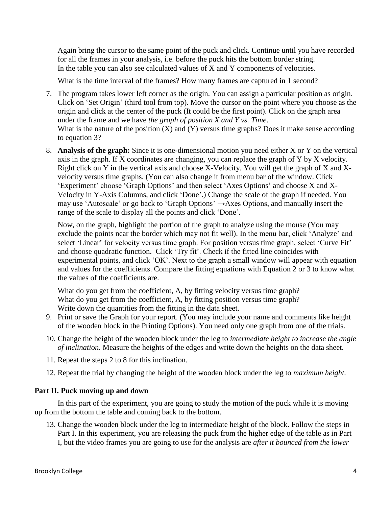Again bring the cursor to the same point of the puck and click. Continue until you have recorded for all the frames in your analysis, i.e. before the puck hits the bottom border string. In the table you can also see calculated values of X and Y components of velocities.

What is the time interval of the frames? How many frames are captured in 1 second?

- 7. The program takes lower left corner as the origin. You can assign a particular position as origin. Click on 'Set Origin' (third tool from top). Move the cursor on the point where you choose as the origin and click at the center of the puck (It could be the first point). Click on the graph area under the frame and we have *the graph of position X and Y vs. Time*. What is the nature of the position  $(X)$  and  $(Y)$  versus time graphs? Does it make sense according to equation 3?
- 8. **Analysis of the graph:** Since it is one-dimensional motion you need either X or Y on the vertical axis in the graph. If X coordinates are changing, you can replace the graph of Y by X velocity. Right click on Y in the vertical axis and choose X-Velocity. You will get the graph of X and Xvelocity versus time graphs. (You can also change it from menu bar of the window. Click 'Experiment' choose 'Graph Options' and then select 'Axes Options' and choose X and X-Velocity in Y-Axis Columns, and click 'Done'.) Change the scale of the graph if needed. You may use 'Autoscale' or go back to 'Graph Options' →Axes Options, and manually insert the range of the scale to display all the points and click 'Done'.

Now, on the graph, highlight the portion of the graph to analyze using the mouse (You may exclude the points near the border which may not fit well). In the menu bar, click 'Analyze' and select 'Linear' for velocity versus time graph. For position versus time graph, select 'Curve Fit' and choose quadratic function. Click 'Try fit'. Check if the fitted line coincides with experimental points, and click 'OK'. Next to the graph a small window will appear with equation and values for the coefficients. Compare the fitting equations with Equation 2 or 3 to know what the values of the coefficients are.

What do you get from the coefficient, A, by fitting velocity versus time graph? What do you get from the coefficient, A, by fitting position versus time graph? Write down the quantities from the fitting in the data sheet.

- 9. Print or save the Graph for your report. (You may include your name and comments like height of the wooden block in the Printing Options). You need only one graph from one of the trials.
- 10. Change the height of the wooden block under the leg to *intermediate height to increase the angle of inclination.* Measure the heights of the edges and write down the heights on the data sheet.
- 11. Repeat the steps 2 to 8 for this inclination.
- 12. Repeat the trial by changing the height of the wooden block under the leg to *maximum height.*

## **Part II. Puck moving up and down**

In this part of the experiment, you are going to study the motion of the puck while it is moving up from the bottom the table and coming back to the bottom.

13. Change the wooden block under the leg to intermediate height of the block. Follow the steps in Part I. In this experiment, you are releasing the puck from the higher edge of the table as in Part I, but the video frames you are going to use for the analysis are *after it bounced from the lower*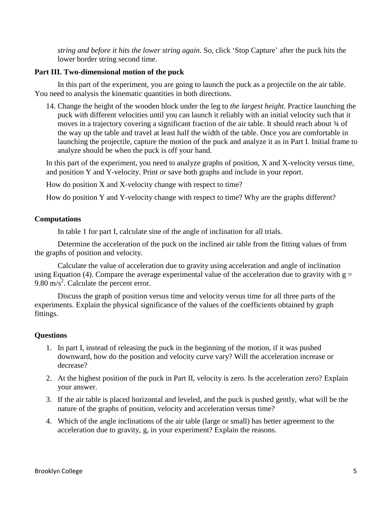*string and before it hits the lower string again*. So, click 'Stop Capture' after the puck hits the lower border string second time.

#### **Part III. Two-dimensional motion of the puck**

In this part of the experiment, you are going to launch the puck as a projectile on the air table. You need to analysis the kinematic quantities in both directions.

14. Change the height of the wooden block under the leg to *the largest height*. Practice launching the puck with different velocities until you can launch it reliably with an initial velocity such that it moves in a trajectory covering a significant fraction of the air table. It should reach about  $\frac{3}{4}$  of the way up the table and travel at least half the width of the table. Once you are comfortable in launching the projectile, capture the motion of the puck and analyze it as in Part I. Initial frame to analyze should be when the puck is off your hand.

In this part of the experiment, you need to analyze graphs of position, X and X-velocity versus time, and position Y and Y-velocity. Print or save both graphs and include in your report.

How do position X and X-velocity change with respect to time?

How do position Y and Y-velocity change with respect to time? Why are the graphs different?

#### **Computations**

In table 1 for part I, calculate sine of the angle of inclination for all trials.

Determine the acceleration of the puck on the inclined air table from the fitting values of from the graphs of position and velocity.

Calculate the value of acceleration due to gravity using acceleration and angle of inclination using Equation (4). Compare the average experimental value of the acceleration due to gravity with  $g =$  $9.80 \text{ m/s}^2$ . Calculate the percent error.

Discuss the graph of position versus time and velocity versus time for all three parts of the experiments. Explain the physical significance of the values of the coefficients obtained by graph fittings.

#### **Questions**

- 1. In part I, instead of releasing the puck in the beginning of the motion, if it was pushed downward, how do the position and velocity curve vary? Will the acceleration increase or decrease?
- 2. At the highest position of the puck in Part II, velocity is zero. Is the acceleration zero? Explain your answer.
- 3. If the air table is placed horizontal and leveled, and the puck is pushed gently, what will be the nature of the graphs of position, velocity and acceleration versus time?
- 4. Which of the angle inclinations of the air table (large or small) has better agreement to the acceleration due to gravity, g, in your experiment? Explain the reasons.